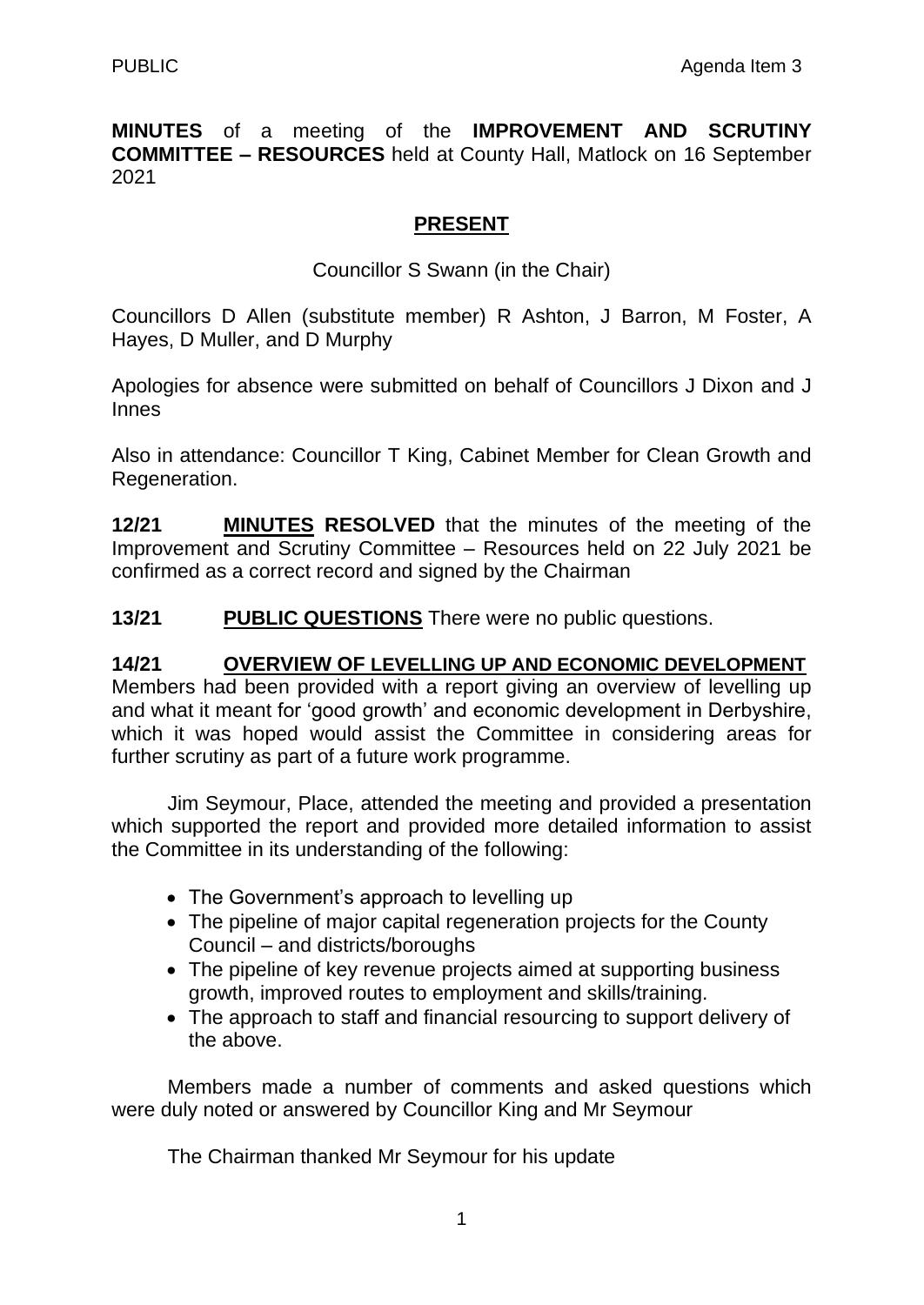**MINUTES** of a meeting of the **IMPROVEMENT AND SCRUTINY COMMITTEE – RESOURCES** held at County Hall, Matlock on 16 September 2021

## **PRESENT**

Councillor S Swann (in the Chair)

Councillors D Allen (substitute member) R Ashton, J Barron, M Foster, A Hayes, D Muller, and D Murphy

Apologies for absence were submitted on behalf of Councillors J Dixon and J Innes

Also in attendance: Councillor T King, Cabinet Member for Clean Growth and Regeneration.

**12/21 MINUTES RESOLVED** that the minutes of the meeting of the Improvement and Scrutiny Committee – Resources held on 22 July 2021 be confirmed as a correct record and signed by the Chairman

**13/21 PUBLIC QUESTIONS** There were no public questions.

**14/21 OVERVIEW OF LEVELLING UP AND ECONOMIC DEVELOPMENT** Members had been provided with a report giving an overview of levelling up and what it meant for 'good growth' and economic development in Derbyshire, which it was hoped would assist the Committee in considering areas for further scrutiny as part of a future work programme.

Jim Seymour, Place, attended the meeting and provided a presentation which supported the report and provided more detailed information to assist the Committee in its understanding of the following:

- The Government's approach to levelling up
- The pipeline of major capital regeneration projects for the County Council – and districts/boroughs
- The pipeline of key revenue projects aimed at supporting business growth, improved routes to employment and skills/training.
- The approach to staff and financial resourcing to support delivery of the above.

Members made a number of comments and asked questions which were duly noted or answered by Councillor King and Mr Seymour

The Chairman thanked Mr Seymour for his update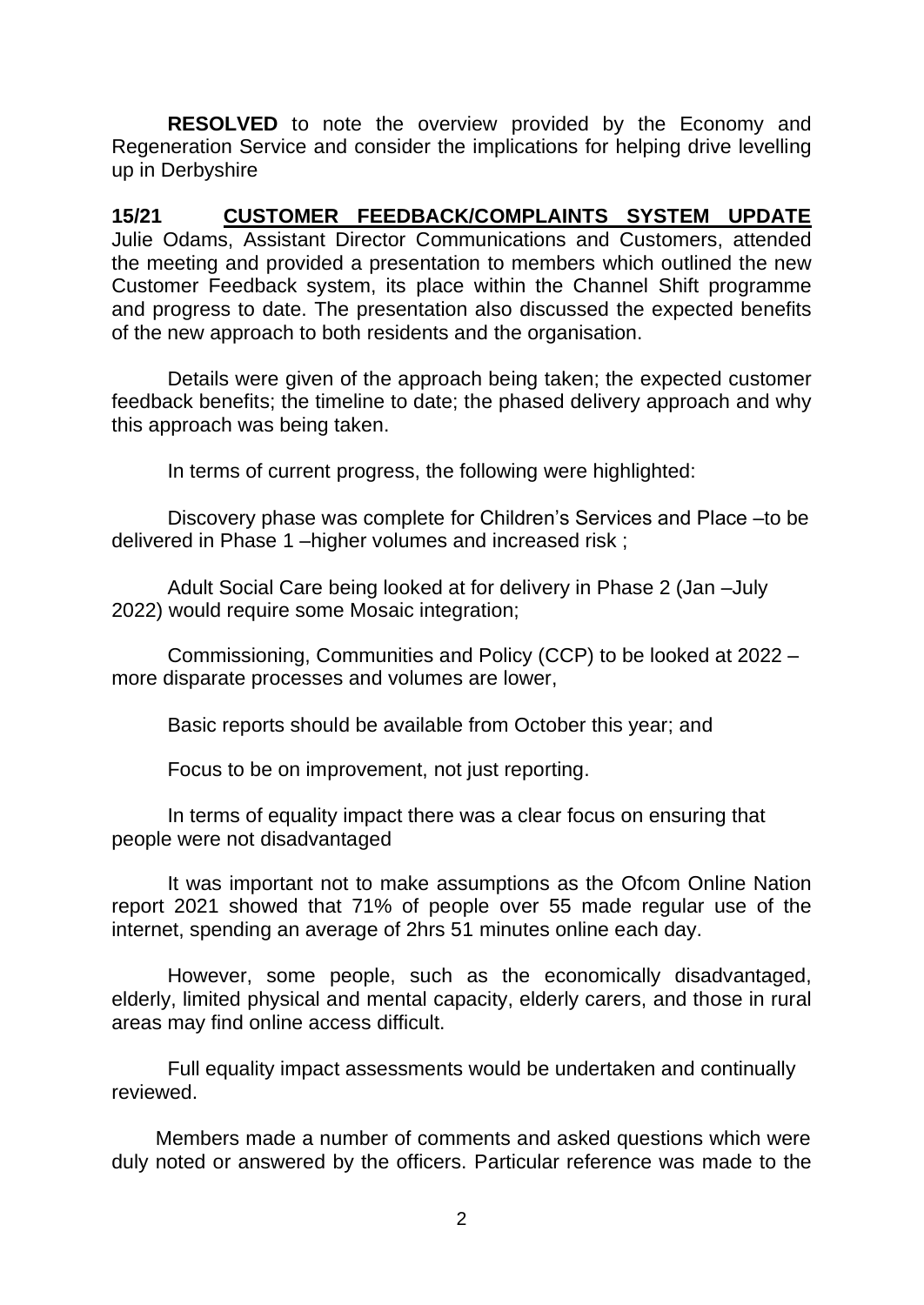**RESOLVED** to note the overview provided by the Economy and Regeneration Service and consider the implications for helping drive levelling up in Derbyshire

**15/21 CUSTOMER FEEDBACK/COMPLAINTS SYSTEM UPDATE** Julie Odams, Assistant Director Communications and Customers, attended the meeting and provided a presentation to members which outlined the new Customer Feedback system, its place within the Channel Shift programme and progress to date. The presentation also discussed the expected benefits of the new approach to both residents and the organisation.

Details were given of the approach being taken; the expected customer feedback benefits; the timeline to date; the phased delivery approach and why this approach was being taken.

In terms of current progress, the following were highlighted:

Discovery phase was complete for Children's Services and Place –to be delivered in Phase 1 –higher volumes and increased risk ;

Adult Social Care being looked at for delivery in Phase 2 (Jan –July 2022) would require some Mosaic integration;

Commissioning, Communities and Policy (CCP) to be looked at 2022 – more disparate processes and volumes are lower,

Basic reports should be available from October this year; and

Focus to be on improvement, not just reporting.

In terms of equality impact there was a clear focus on ensuring that people were not disadvantaged

It was important not to make assumptions as the Ofcom Online Nation report 2021 showed that 71% of people over 55 made regular use of the internet, spending an average of 2hrs 51 minutes online each day.

However, some people, such as the economically disadvantaged, elderly, limited physical and mental capacity, elderly carers, and those in rural areas may find online access difficult.

Full equality impact assessments would be undertaken and continually reviewed.

Members made a number of comments and asked questions which were duly noted or answered by the officers. Particular reference was made to the